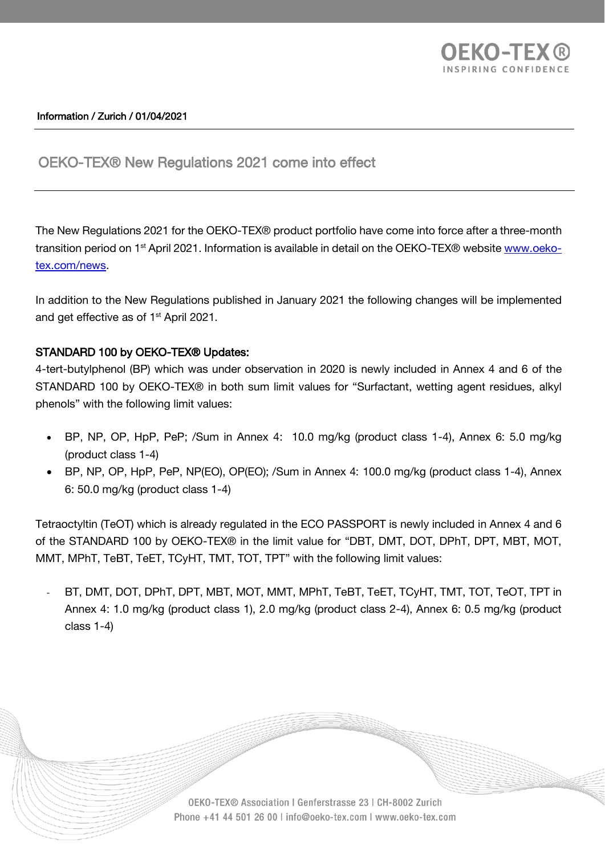

### Information / Zurich / 01/04/2021

# OEKO-TEX® New Regulations 2021 come into effect

The New Regulations 2021 for the OEKO-TEX® product portfolio have come into force after a three-month transition period on 1<sup>st</sup> April 2021. Information is available in detail on the OEKO-TEX® website <u>www.oeko-</u> [tex.com/news.](https://www.oeko-tex.com/en/news/infocenter/info-detail/new-regulations-2021)

In addition to the New Regulations published in January 2021 the following changes will be implemented and get effective as of 1<sup>st</sup> April 2021.

### STANDARD 100 by OEKO-TEX® Updates:

4-tert-butylphenol (BP) which was under observation in 2020 is newly included in Annex 4 and 6 of the STANDARD 100 by OEKO-TEX® in both sum limit values for "Surfactant, wetting agent residues, alkyl phenols" with the following limit values:

- BP, NP, OP, HpP, PeP; /Sum in Annex 4: 10.0 mg/kg (product class 1-4), Annex 6: 5.0 mg/kg (product class 1-4)
- BP, NP, OP, HpP, PeP, NP(EO), OP(EO); /Sum in Annex 4: 100.0 mg/kg (product class 1-4), Annex 6: 50.0 mg/kg (product class 1-4)

Tetraoctyltin (TeOT) which is already regulated in the ECO PASSPORT is newly included in Annex 4 and 6 of the STANDARD 100 by OEKO-TEX® in the limit value for "DBT, DMT, DOT, DPhT, DPT, MBT, MOT, MMT, MPhT, TeBT, TeET, TCyHT, TMT, TOT, TPT" with the following limit values:

BT, DMT, DOT, DPhT, DPT, MBT, MOT, MMT, MPhT, TeBT, TeET, TCyHT, TMT, TOT, TeOT, TPT in Annex 4: 1.0 mg/kg (product class 1), 2.0 mg/kg (product class 2-4), Annex 6: 0.5 mg/kg (product class 1-4)

> OEKO-TEX® Association | Genferstrasse 23 | CH-8002 Zurich Phone +41 44 501 26 00 | info@oeko-tex.com | www.oeko-tex.com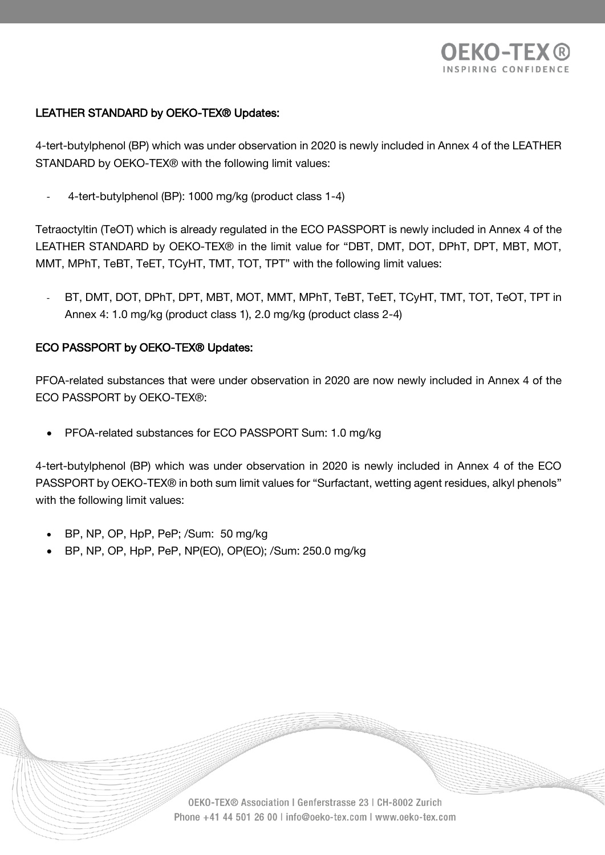

## LEATHER STANDARD by OEKO-TEX® Updates:

4-tert-butylphenol (BP) which was under observation in 2020 is newly included in Annex 4 of the LEATHER STANDARD by OEKO-TEX® with the following limit values:

- 4-tert-butylphenol (BP): 1000 mg/kg (product class 1-4)

Tetraoctyltin (TeOT) which is already regulated in the ECO PASSPORT is newly included in Annex 4 of the LEATHER STANDARD by OEKO-TEX® in the limit value for "DBT, DMT, DOT, DPhT, DPT, MBT, MOT, MMT, MPhT, TeBT, TeET, TCyHT, TMT, TOT, TPT" with the following limit values:

BT, DMT, DOT, DPhT, DPT, MBT, MOT, MMT, MPhT, TeBT, TeET, TCyHT, TMT, TOT, TeOT, TPT in Annex 4: 1.0 mg/kg (product class 1), 2.0 mg/kg (product class 2-4)

### ECO PASSPORT by OEKO-TEX® Updates:

PFOA-related substances that were under observation in 2020 are now newly included in Annex 4 of the ECO PASSPORT by OEKO-TEX®:

• PFOA-related substances for ECO PASSPORT Sum: 1.0 mg/kg

4-tert-butylphenol (BP) which was under observation in 2020 is newly included in Annex 4 of the ECO PASSPORT by OEKO-TEX® in both sum limit values for "Surfactant, wetting agent residues, alkyl phenols" with the following limit values:

- BP, NP, OP, HpP, PeP; /Sum: 50 mg/kg
- BP, NP, OP, HpP, PeP, NP(EO), OP(EO); /Sum: 250.0 mg/kg

OEKO-TEX® Association | Genferstrasse 23 | CH-8002 Zurich Phone +41 44 501 26 00 | info@oeko-tex.com | www.oeko-tex.com